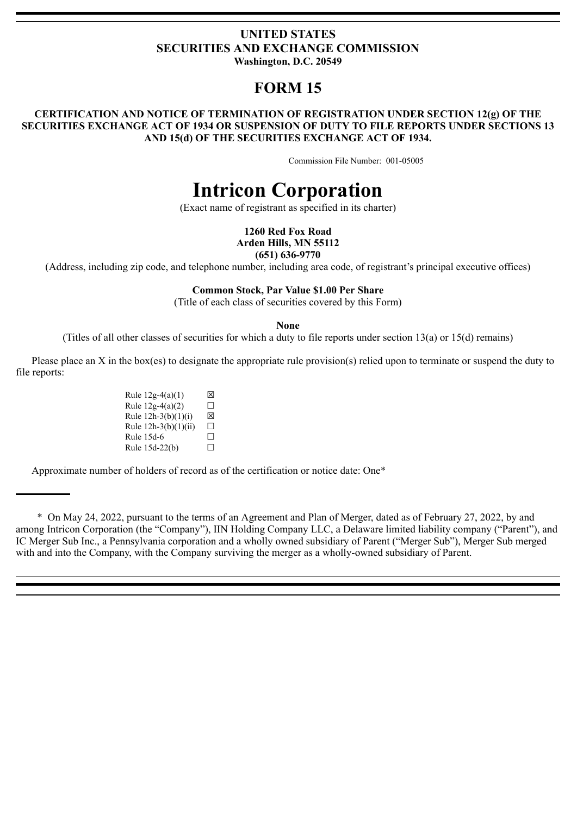## **UNITED STATES SECURITIES AND EXCHANGE COMMISSION Washington, D.C. 20549**

**FORM 15**

### **CERTIFICATION AND NOTICE OF TERMINATION OF REGISTRATION UNDER SECTION 12(g) OF THE SECURITIES EXCHANGE ACT OF 1934 OR SUSPENSION OF DUTY TO FILE REPORTS UNDER SECTIONS 13 AND 15(d) OF THE SECURITIES EXCHANGE ACT OF 1934.**

Commission File Number: 001-05005

# **Intricon Corporation**

(Exact name of registrant as specified in its charter)

**1260 Red Fox Road Arden Hills, MN 55112 (651) 636-9770**

(Address, including zip code, and telephone number, including area code, of registrant's principal executive offices)

#### **Common Stock, Par Value \$1.00 Per Share**

(Title of each class of securities covered by this Form)

**None**

(Titles of all other classes of securities for which a duty to file reports under section 13(a) or 15(d) remains)

Please place an X in the box(es) to designate the appropriate rule provision(s) relied upon to terminate or suspend the duty to file reports:

> Rule  $12g-4(a)(1)$   $\boxtimes$ Rule  $12g-4(a)(2)$   $\Box$ Rule  $12h-3(b)(1)(i)$   $\boxtimes$ Rule  $12h-3(b)(1)(ii)$   $\Box$ Rule 15d-6  $\Box$ Rule  $15d-22(b)$   $\Box$

Approximate number of holders of record as of the certification or notice date: One\*

\* On May 24, 2022, pursuant to the terms of an Agreement and Plan of Merger, dated as of February 27, 2022, by and among Intricon Corporation (the "Company"), IIN Holding Company LLC, a Delaware limited liability company ("Parent"), and IC Merger Sub Inc., a Pennsylvania corporation and a wholly owned subsidiary of Parent ("Merger Sub"), Merger Sub merged with and into the Company, with the Company surviving the merger as a wholly-owned subsidiary of Parent.